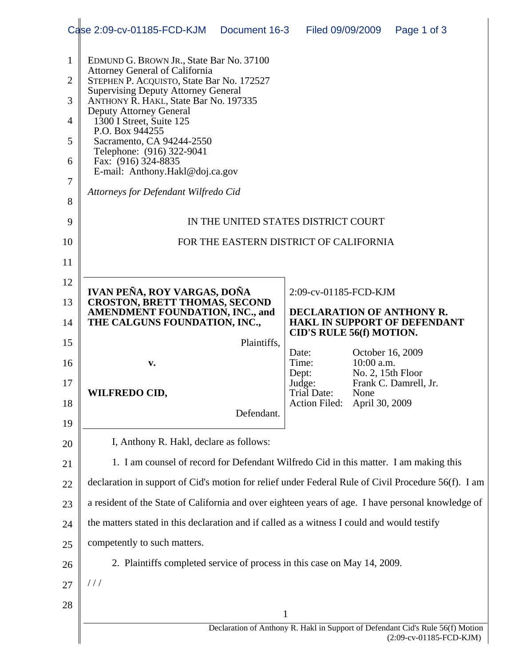|                | Case 2:09-cv-01185-FCD-KJM<br>Document 16-3                                                                                                                                                                                                                                                            |  | Filed 09/09/2009                                                                                    |                                                    | Page 1 of 3             |  |
|----------------|--------------------------------------------------------------------------------------------------------------------------------------------------------------------------------------------------------------------------------------------------------------------------------------------------------|--|-----------------------------------------------------------------------------------------------------|----------------------------------------------------|-------------------------|--|
| $\mathbf{1}$   | EDMUND G. BROWN JR., State Bar No. 37100<br><b>Attorney General of California</b><br>STEPHEN P. ACQUISTO, State Bar No. 172527<br><b>Supervising Deputy Attorney General</b><br>ANTHONY R. HAKL, State Bar No. 197335<br><b>Deputy Attorney General</b><br>1300 I Street, Suite 125<br>P.O. Box 944255 |  |                                                                                                     |                                                    |                         |  |
| $\overline{2}$ |                                                                                                                                                                                                                                                                                                        |  |                                                                                                     |                                                    |                         |  |
| 3              |                                                                                                                                                                                                                                                                                                        |  |                                                                                                     |                                                    |                         |  |
| 4              |                                                                                                                                                                                                                                                                                                        |  |                                                                                                     |                                                    |                         |  |
| 5              | Sacramento, CA 94244-2550                                                                                                                                                                                                                                                                              |  |                                                                                                     |                                                    |                         |  |
| 6              | Telephone: (916) 322-9041<br>Fax: (916) 324-8835                                                                                                                                                                                                                                                       |  |                                                                                                     |                                                    |                         |  |
| 7              | E-mail: Anthony.Hakl@doj.ca.gov                                                                                                                                                                                                                                                                        |  |                                                                                                     |                                                    |                         |  |
| 8              | Attorneys for Defendant Wilfredo Cid                                                                                                                                                                                                                                                                   |  |                                                                                                     |                                                    |                         |  |
| 9              | IN THE UNITED STATES DISTRICT COURT                                                                                                                                                                                                                                                                    |  |                                                                                                     |                                                    |                         |  |
| 10             | FOR THE EASTERN DISTRICT OF CALIFORNIA                                                                                                                                                                                                                                                                 |  |                                                                                                     |                                                    |                         |  |
| 11             |                                                                                                                                                                                                                                                                                                        |  |                                                                                                     |                                                    |                         |  |
| 12             | IVAN PEÑA, ROY VARGAS, DOÑA                                                                                                                                                                                                                                                                            |  | 2:09-cv-01185-FCD-KJM                                                                               |                                                    |                         |  |
| 13             | <b>CROSTON, BRETT THOMAS, SECOND</b><br><b>AMENDMENT FOUNDATION, INC., and</b>                                                                                                                                                                                                                         |  | <b>DECLARATION OF ANTHONY R.</b><br><b>HAKL IN SUPPORT OF DEFENDANT</b><br>CID'S RULE 56(f) MOTION. |                                                    |                         |  |
| 14             | THE CALGUNS FOUNDATION, INC.,                                                                                                                                                                                                                                                                          |  |                                                                                                     |                                                    |                         |  |
| 15             | Plaintiffs,                                                                                                                                                                                                                                                                                            |  | Date:                                                                                               | October 16, 2009                                   |                         |  |
| 16             | v.                                                                                                                                                                                                                                                                                                     |  | Time:<br>Dept:                                                                                      | 10:00 a.m.                                         |                         |  |
| 17             | <b>WILFREDO CID,</b>                                                                                                                                                                                                                                                                                   |  | Judge:<br>Trial Date:                                                                               | No. 2, 15th Floor<br>Frank C. Damrell, Jr.<br>None |                         |  |
| 18             | Defendant.                                                                                                                                                                                                                                                                                             |  | Action Filed: April 30, 2009                                                                        |                                                    |                         |  |
| 19             |                                                                                                                                                                                                                                                                                                        |  |                                                                                                     |                                                    |                         |  |
| 20             | I, Anthony R. Hakl, declare as follows:                                                                                                                                                                                                                                                                |  |                                                                                                     |                                                    |                         |  |
| 21             | 1. I am counsel of record for Defendant Wilfredo Cid in this matter. I am making this                                                                                                                                                                                                                  |  |                                                                                                     |                                                    |                         |  |
| 22             | declaration in support of Cid's motion for relief under Federal Rule of Civil Procedure 56(f). I am                                                                                                                                                                                                    |  |                                                                                                     |                                                    |                         |  |
| 23             | a resident of the State of California and over eighteen years of age. I have personal knowledge of                                                                                                                                                                                                     |  |                                                                                                     |                                                    |                         |  |
| 24             | the matters stated in this declaration and if called as a witness I could and would testify                                                                                                                                                                                                            |  |                                                                                                     |                                                    |                         |  |
| 25             | competently to such matters.                                                                                                                                                                                                                                                                           |  |                                                                                                     |                                                    |                         |  |
| 26             | 2. Plaintiffs completed service of process in this case on May 14, 2009.                                                                                                                                                                                                                               |  |                                                                                                     |                                                    |                         |  |
| 27             | $\frac{1}{2}$                                                                                                                                                                                                                                                                                          |  |                                                                                                     |                                                    |                         |  |
| 28             |                                                                                                                                                                                                                                                                                                        |  |                                                                                                     |                                                    |                         |  |
|                | 1<br>Declaration of Anthony R. Hakl in Support of Defendant Cid's Rule 56(f) Motion                                                                                                                                                                                                                    |  |                                                                                                     |                                                    |                         |  |
|                |                                                                                                                                                                                                                                                                                                        |  |                                                                                                     |                                                    | (2:09-cv-01185-FCD-KJM) |  |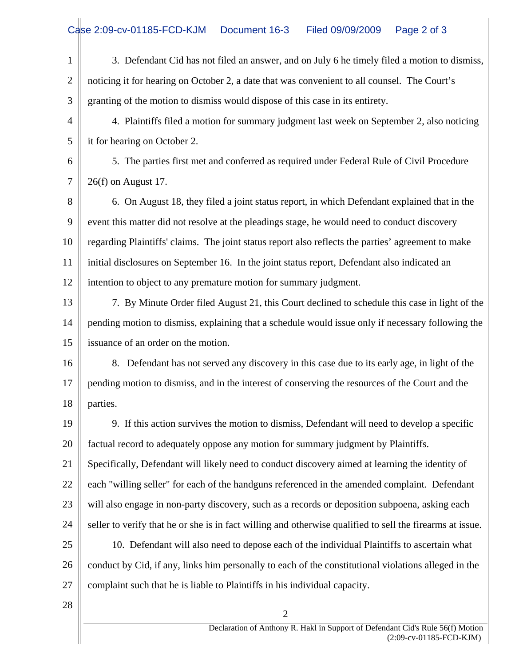1 2 3 4 5 6 7 8 9 10 11 12 13 14 15 16 17 18 19 20 21 22 23 24 25 26 27 28 2 3. Defendant Cid has not filed an answer, and on July 6 he timely filed a motion to dismiss, noticing it for hearing on October 2, a date that was convenient to all counsel. The Court's granting of the motion to dismiss would dispose of this case in its entirety. 4. Plaintiffs filed a motion for summary judgment last week on September 2, also noticing it for hearing on October 2. 5. The parties first met and conferred as required under Federal Rule of Civil Procedure 26(f) on August 17. 6. On August 18, they filed a joint status report, in which Defendant explained that in the event this matter did not resolve at the pleadings stage, he would need to conduct discovery regarding Plaintiffs' claims. The joint status report also reflects the parties' agreement to make initial disclosures on September 16. In the joint status report, Defendant also indicated an intention to object to any premature motion for summary judgment. 7. By Minute Order filed August 21, this Court declined to schedule this case in light of the pending motion to dismiss, explaining that a schedule would issue only if necessary following the issuance of an order on the motion. 8. Defendant has not served any discovery in this case due to its early age, in light of the pending motion to dismiss, and in the interest of conserving the resources of the Court and the parties. 9. If this action survives the motion to dismiss, Defendant will need to develop a specific factual record to adequately oppose any motion for summary judgment by Plaintiffs. Specifically, Defendant will likely need to conduct discovery aimed at learning the identity of each "willing seller" for each of the handguns referenced in the amended complaint. Defendant will also engage in non-party discovery, such as a records or deposition subpoena, asking each seller to verify that he or she is in fact willing and otherwise qualified to sell the firearms at issue. 10. Defendant will also need to depose each of the individual Plaintiffs to ascertain what conduct by Cid, if any, links him personally to each of the constitutional violations alleged in the complaint such that he is liable to Plaintiffs in his individual capacity.